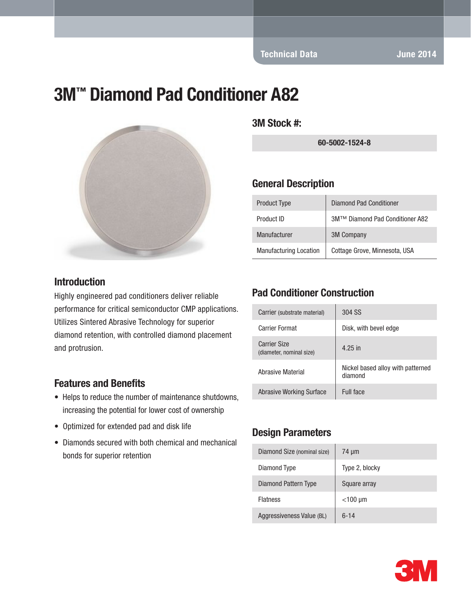Technical Data June 2014

# 3M™ Diamond Pad Conditioner A82



#### Introduction

Highly engineered pad conditioners deliver reliable performance for critical semiconductor CMP applications. Utilizes Sintered Abrasive Technology for superior diamond retention, with controlled diamond placement and protrusion.

#### Features and Benefits

- Helps to reduce the number of maintenance shutdowns, increasing the potential for lower cost of ownership
- Optimized for extended pad and disk life
- Diamonds secured with both chemical and mechanical bonds for superior retention

3M Stock #:

60-5002-1524-8

#### General Description

| <b>Product Type</b>           | Diamond Pad Conditioner         |
|-------------------------------|---------------------------------|
| Product ID                    | 3M™ Diamond Pad Conditioner A82 |
| Manufacturer                  | <b>3M Company</b>               |
| <b>Manufacturing Location</b> | Cottage Grove, Minnesota, USA   |

### Pad Conditioner Construction

| Carrier (substrate material)                    | 304 SS                                       |
|-------------------------------------------------|----------------------------------------------|
| Carrier Format                                  | Disk, with bevel edge                        |
| <b>Carrier Size</b><br>(diameter, nominal size) | 4.25 in                                      |
| Abrasive Material                               | Nickel based alloy with patterned<br>diamond |
| Abrasive Working Surface                        | Full face                                    |

#### Design Parameters

| Diamond Size (nominal size) | 74 µm          |
|-----------------------------|----------------|
| Diamond Type                | Type 2, blocky |
| Diamond Pattern Type        | Square array   |
| <b>Flatness</b>             | $<$ 100 µm     |
| Aggressiveness Value (BL)   | $6 - 14$       |